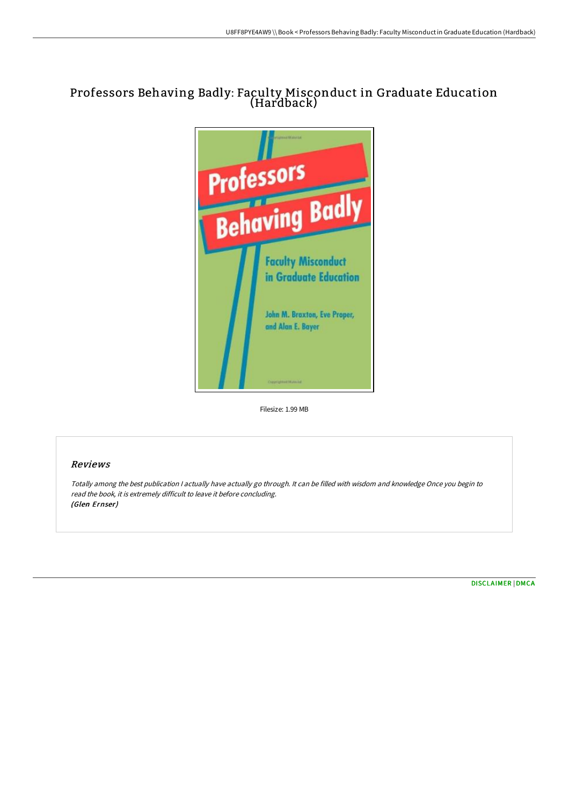# Professors Behaving Badly: Faculty Misconduct in Graduate Education (Hardback)



Filesize: 1.99 MB

### Reviews

Totally among the best publication <sup>I</sup> actually have actually go through. It can be filled with wisdom and knowledge Once you begin to read the book, it is extremely difficult to leave it before concluding. (Glen Ernser)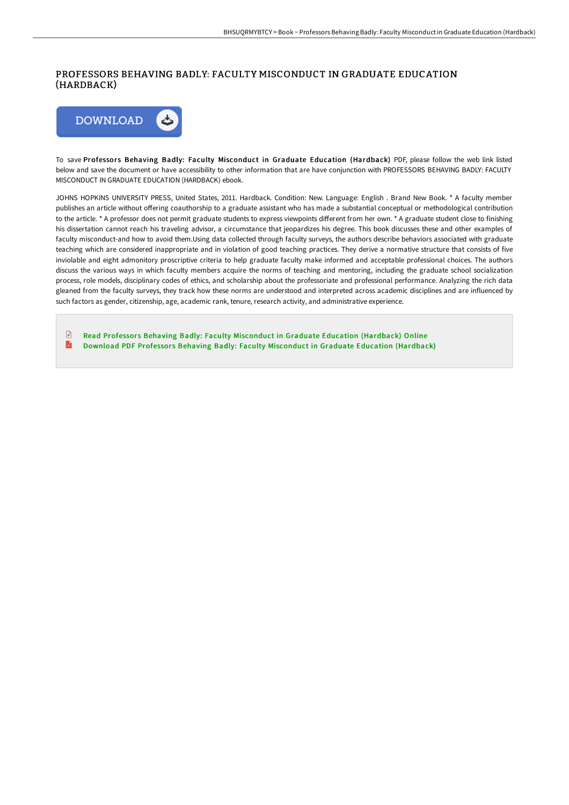### PROFESSORS BEHAVING BADLY: FACULTY MISCONDUCT IN GRADUATE EDUCATION (HARDBACK)



To save Professors Behaving Badly: Faculty Misconduct in Graduate Education (Hardback) PDF, please follow the web link listed below and save the document or have accessibility to other information that are have conjunction with PROFESSORS BEHAVING BADLY: FACULTY MISCONDUCT IN GRADUATE EDUCATION (HARDBACK) ebook.

JOHNS HOPKINS UNIVERSITY PRESS, United States, 2011. Hardback. Condition: New. Language: English . Brand New Book. \* A faculty member publishes an article without offering coauthorship to a graduate assistant who has made a substantial conceptual or methodological contribution to the article. \* A professor does not permit graduate students to express viewpoints different from her own. \* A graduate student close to finishing his dissertation cannot reach his traveling advisor, a circumstance that jeopardizes his degree. This book discusses these and other examples of faculty misconduct-and how to avoid them.Using data collected through faculty surveys, the authors describe behaviors associated with graduate teaching which are considered inappropriate and in violation of good teaching practices. They derive a normative structure that consists of five inviolable and eight admonitory proscriptive criteria to help graduate faculty make informed and acceptable professional choices. The authors discuss the various ways in which faculty members acquire the norms of teaching and mentoring, including the graduate school socialization process, role models, disciplinary codes of ethics, and scholarship about the professoriate and professional performance. Analyzing the rich data gleaned from the faculty surveys, they track how these norms are understood and interpreted across academic disciplines and are influenced by such factors as gender, citizenship, age, academic rank, tenure, research activity, and administrative experience.

 $\Box$ Read Professors Behaving Badly: Faculty [Misconduct](http://albedo.media/professors-behaving-badly-faculty-misconduct-in-.html) in Graduate Education (Hardback) Online A Download PDF Professors Behaving Badly: Faculty [Misconduct](http://albedo.media/professors-behaving-badly-faculty-misconduct-in-.html) in Graduate Education (Hardback)